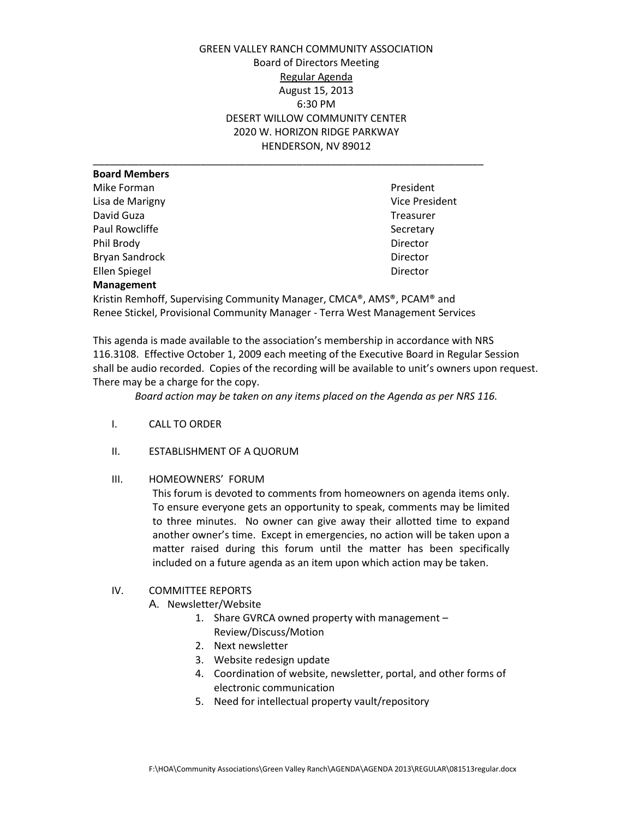GREEN VALLEY RANCH COMMUNITY ASSOCIATION Board of Directors Meeting Regular Agenda August 15, 2013 6:30 PM DESERT WILLOW COMMUNITY CENTER 2020 W. HORIZON RIDGE PARKWAY HENDERSON, NV 89012

| President      |
|----------------|
| Vice President |
| Treasurer      |
| Secretary      |
| Director       |
| Director       |
| Director       |
|                |
|                |

Kristin Remhoff, Supervising Community Manager, CMCA®, AMS®, PCAM® and Renee Stickel, Provisional Community Manager - Terra West Management Services

This agenda is made available to the association's membership in accordance with NRS 116.3108. Effective October 1, 2009 each meeting of the Executive Board in Regular Session shall be audio recorded. Copies of the recording will be available to unit's owners upon request. There may be a charge for the copy.

*Board action may be taken on any items placed on the Agenda as per NRS 116.* 

- I. CALL TO ORDER
- II. ESTABLISHMENT OF A QUORUM
- III. HOMEOWNERS' FORUM

This forum is devoted to comments from homeowners on agenda items only. To ensure everyone gets an opportunity to speak, comments may be limited to three minutes. No owner can give away their allotted time to expand another owner's time. Except in emergencies, no action will be taken upon a matter raised during this forum until the matter has been specifically included on a future agenda as an item upon which action may be taken.

## IV. COMMITTEE REPORTS

- A. Newsletter/Website
	- 1. Share GVRCA owned property with management Review/Discuss/Motion
	- 2. Next newsletter
	- 3. Website redesign update
	- 4. Coordination of website, newsletter, portal, and other forms of electronic communication
	- 5. Need for intellectual property vault/repository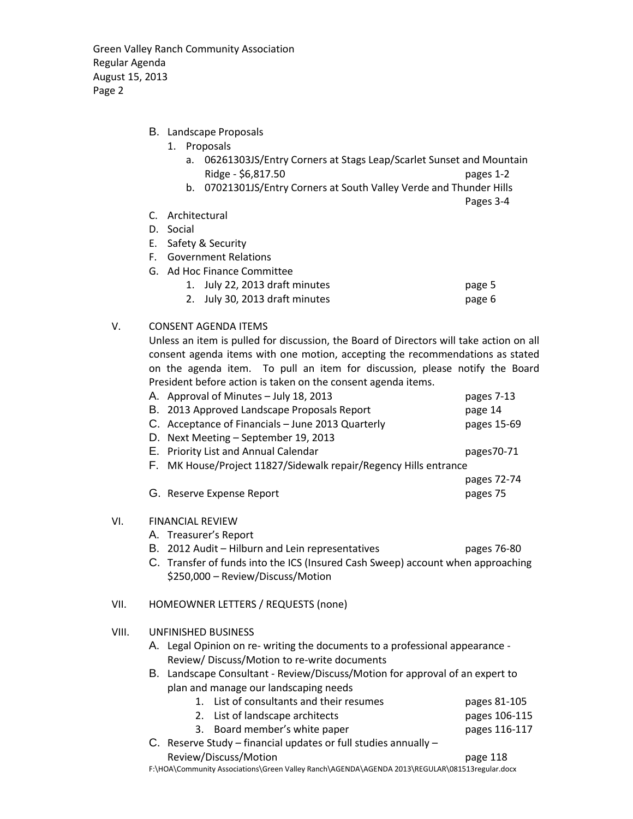Green Valley Ranch Community Association Regular Agenda August 15, 2013 Page 2

- B. Landscape Proposals
	- 1. Proposals
		- a. 06261303JS/Entry Corners at Stags Leap/Scarlet Sunset and Mountain Ridge - \$6,817.50 pages 1-2
		- b. 07021301JS/Entry Corners at South Valley Verde and Thunder Hills

Pages 3-4

- C. Architectural
- D. Social
- E. Safety & Security
- F. Government Relations
- G. Ad Hoc Finance Committee

| 1. July 22, 2013 draft minutes | page 5 |
|--------------------------------|--------|
| 2. July 30, 2013 draft minutes | page 6 |

V. CONSENT AGENDA ITEMS

Unless an item is pulled for discussion, the Board of Directors will take action on all consent agenda items with one motion, accepting the recommendations as stated on the agenda item. To pull an item for discussion, please notify the Board President before action is taken on the consent agenda items.

| A. Approval of Minutes - July 18, 2013                           | pages 7-13  |  |
|------------------------------------------------------------------|-------------|--|
| B. 2013 Approved Landscape Proposals Report                      | page 14     |  |
| C. Acceptance of Financials - June 2013 Quarterly                | pages 15-69 |  |
| D. Next Meeting - September 19, 2013                             |             |  |
| E. Priority List and Annual Calendar                             | pages70-71  |  |
| F. MK House/Project 11827/Sidewalk repair/Regency Hills entrance |             |  |
|                                                                  | pages 72-74 |  |

G. Reserve Expense Report **pages 75** 

## VI. FINANCIAL REVIEW

- A. Treasurer's Report
- B. 2012 Audit Hilburn and Lein representatives pages 76-80
- C. Transfer of funds into the ICS (Insured Cash Sweep) account when approaching \$250,000 – Review/Discuss/Motion

## VII. HOMEOWNER LETTERS / REQUESTS (none)

- VIII. UNFINISHED BUSINESS
	- A. Legal Opinion on re- writing the documents to a professional appearance Review/ Discuss/Motion to re-write documents
	- B. Landscape Consultant Review/Discuss/Motion for approval of an expert to plan and manage our landscaping needs

|  | pages 81-105                                                                                                                                                                    |
|--|---------------------------------------------------------------------------------------------------------------------------------------------------------------------------------|
|  | pages 106-115                                                                                                                                                                   |
|  | pages 116-117                                                                                                                                                                   |
|  |                                                                                                                                                                                 |
|  | 1. List of consultants and their resumes<br>2. List of landscape architects<br>3. Board member's white paper<br>C. Reserve Study – financial updates or full studies annually – |

Review/Discuss/Motion example 2018 F:\HOA\Community Associations\Green Valley Ranch\AGENDA\AGENDA 2013\REGULAR\081513regular.docx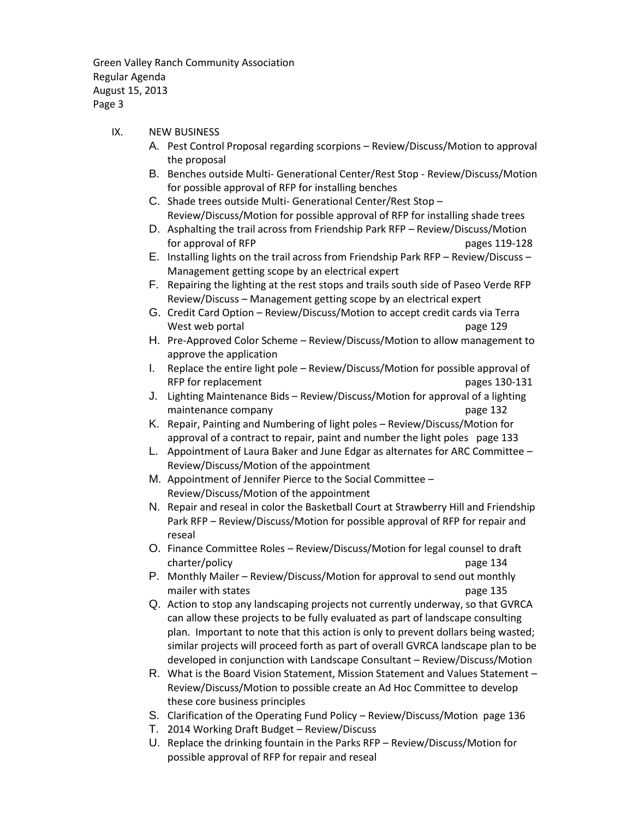Green Valley Ranch Community Association Regular Agenda August 15, 2013 Page 3

- IX. NEW BUSINESS
	- A. Pest Control Proposal regarding scorpions Review/Discuss/Motion to approval the proposal
	- B. Benches outside Multi- Generational Center/Rest Stop Review/Discuss/Motion for possible approval of RFP for installing benches
	- C. Shade trees outside Multi- Generational Center/Rest Stop Review/Discuss/Motion for possible approval of RFP for installing shade trees
	- D. Asphalting the trail across from Friendship Park RFP Review/Discuss/Motion for approval of RFP pages 119-128
	- E. Installing lights on the trail across from Friendship Park RFP Review/Discuss Management getting scope by an electrical expert
	- F. Repairing the lighting at the rest stops and trails south side of Paseo Verde RFP Review/Discuss – Management getting scope by an electrical expert
	- G. Credit Card Option Review/Discuss/Motion to accept credit cards via Terra West web portal page 129
	- H. Pre-Approved Color Scheme Review/Discuss/Motion to allow management to approve the application
	- I. Replace the entire light pole Review/Discuss/Motion for possible approval of RFP for replacement and pages 130-131
	- J. Lighting Maintenance Bids Review/Discuss/Motion for approval of a lighting maintenance company page 132
	- K. Repair, Painting and Numbering of light poles Review/Discuss/Motion for approval of a contract to repair, paint and number the light poles page 133
	- L. Appointment of Laura Baker and June Edgar as alternates for ARC Committee Review/Discuss/Motion of the appointment
	- M. Appointment of Jennifer Pierce to the Social Committee Review/Discuss/Motion of the appointment
	- N. Repair and reseal in color the Basketball Court at Strawberry Hill and Friendship Park RFP – Review/Discuss/Motion for possible approval of RFP for repair and reseal
	- O. Finance Committee Roles Review/Discuss/Motion for legal counsel to draft charter/policy page 134
	- P. Monthly Mailer Review/Discuss/Motion for approval to send out monthly mailer with states **page 135**
	- Q. Action to stop any landscaping projects not currently underway, so that GVRCA can allow these projects to be fully evaluated as part of landscape consulting plan. Important to note that this action is only to prevent dollars being wasted; similar projects will proceed forth as part of overall GVRCA landscape plan to be developed in conjunction with Landscape Consultant – Review/Discuss/Motion
	- R. What is the Board Vision Statement, Mission Statement and Values Statement Review/Discuss/Motion to possible create an Ad Hoc Committee to develop these core business principles
	- S. Clarification of the Operating Fund Policy Review/Discuss/Motion page 136
	- T. 2014 Working Draft Budget Review/Discuss
	- U. Replace the drinking fountain in the Parks RFP Review/Discuss/Motion for possible approval of RFP for repair and reseal